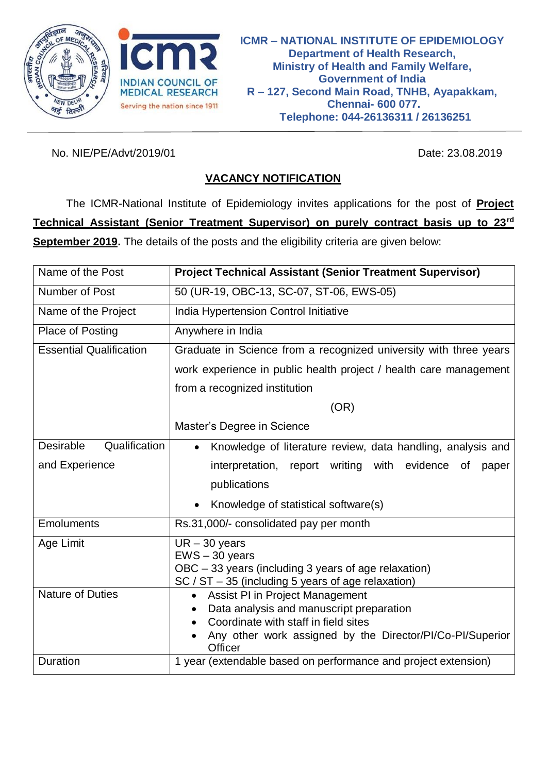



No. NIE/PE/Advt/2019/01 23.08.2019

# **VACANCY NOTIFICATION**

The ICMR-National Institute of Epidemiology invites applications for the post of **Project Technical Assistant (Senior Treatment Supervisor) on purely contract basis up to 23rd September 2019.** The details of the posts and the eligibility criteria are given below:

| Name of the Post                                                        | <b>Project Technical Assistant (Senior Treatment Supervisor)</b>                 |  |  |
|-------------------------------------------------------------------------|----------------------------------------------------------------------------------|--|--|
| Number of Post                                                          | 50 (UR-19, OBC-13, SC-07, ST-06, EWS-05)                                         |  |  |
| Name of the Project                                                     | India Hypertension Control Initiative                                            |  |  |
| <b>Place of Posting</b>                                                 | Anywhere in India                                                                |  |  |
| <b>Essential Qualification</b>                                          | Graduate in Science from a recognized university with three years                |  |  |
|                                                                         | work experience in public health project / health care management                |  |  |
|                                                                         | from a recognized institution                                                    |  |  |
|                                                                         | (OR)                                                                             |  |  |
|                                                                         | Master's Degree in Science                                                       |  |  |
| Qualification<br>Desirable                                              | Knowledge of literature review, data handling, analysis and<br>$\bullet$         |  |  |
| and Experience                                                          | interpretation, report writing with evidence of<br>paper                         |  |  |
|                                                                         | publications                                                                     |  |  |
|                                                                         | Knowledge of statistical software(s)                                             |  |  |
| <b>Emoluments</b>                                                       | Rs.31,000/- consolidated pay per month                                           |  |  |
| Age Limit                                                               | $UR - 30$ years                                                                  |  |  |
|                                                                         | $EWS - 30$ years<br>OBC - 33 years (including 3 years of age relaxation)         |  |  |
|                                                                         | $SC / ST - 35$ (including 5 years of age relaxation)                             |  |  |
| <b>Nature of Duties</b><br>Assist PI in Project Management<br>$\bullet$ |                                                                                  |  |  |
|                                                                         | Data analysis and manuscript preparation<br>Coordinate with staff in field sites |  |  |
|                                                                         | Any other work assigned by the Director/PI/Co-PI/Superior<br><b>Officer</b>      |  |  |
| Duration                                                                | 1 year (extendable based on performance and project extension)                   |  |  |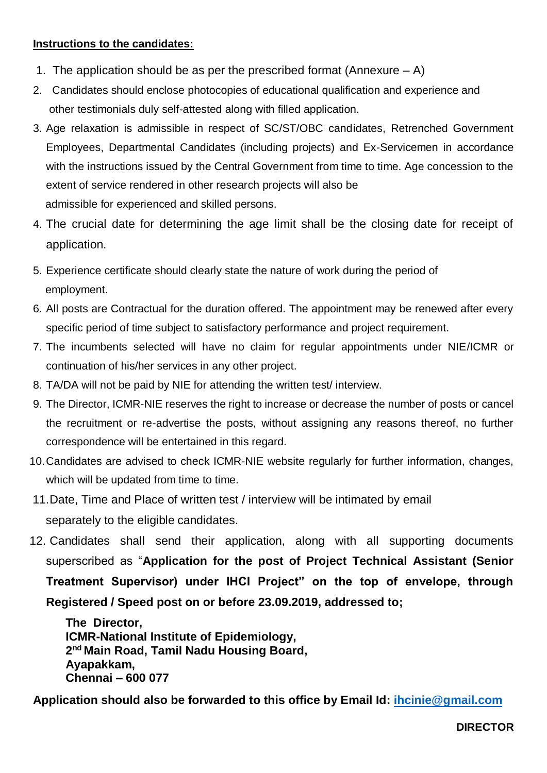### **Instructions to the candidates:**

- 1. The application should be as per the prescribed format (Annexure  $-$  A)
- 2. Candidates should enclose photocopies of educational qualification and experience and other testimonials duly self-attested along with filled application.
- 3. Age relaxation is admissible in respect of SC/ST/OBC candidates, Retrenched Government Employees, Departmental Candidates (including projects) and Ex-Servicemen in accordance with the instructions issued by the Central Government from time to time. Age concession to the extent of service rendered in other research projects will also be admissible for experienced and skilled persons.
- 4. The crucial date for determining the age limit shall be the closing date for receipt of application.
- 5. Experience certificate should clearly state the nature of work during the period of employment.
- 6. All posts are Contractual for the duration offered. The appointment may be renewed after every specific period of time subject to satisfactory performance and project requirement.
- 7. The incumbents selected will have no claim for regular appointments under NIE/ICMR or continuation of his/her services in any other project.
- 8. TA/DA will not be paid by NIE for attending the written test/ interview.
- 9. The Director, ICMR-NIE reserves the right to increase or decrease the number of posts or cancel the recruitment or re-advertise the posts, without assigning any reasons thereof, no further correspondence will be entertained in this regard.
- 10.Candidates are advised to check ICMR-NIE website regularly for further information, changes, which will be updated from time to time.
- 11.Date, Time and Place of written test / interview will be intimated by email separately to the eligible candidates.
- 12. Candidates shall send their application, along with all supporting documents superscribed as "**Application for the post of Project Technical Assistant (Senior Treatment Supervisor) under IHCI Project" on the top of envelope, through Registered / Speed post on or before 23.09.2019, addressed to;**

**The Director, ICMR-National Institute of Epidemiology, 2 nd Main Road, Tamil Nadu Housing Board, Ayapakkam, Chennai – 600 077**

**Application should also be forwarded to this office by Email Id: [ihcinie@gmail.com](mailto:ihcinie@gmail.com)**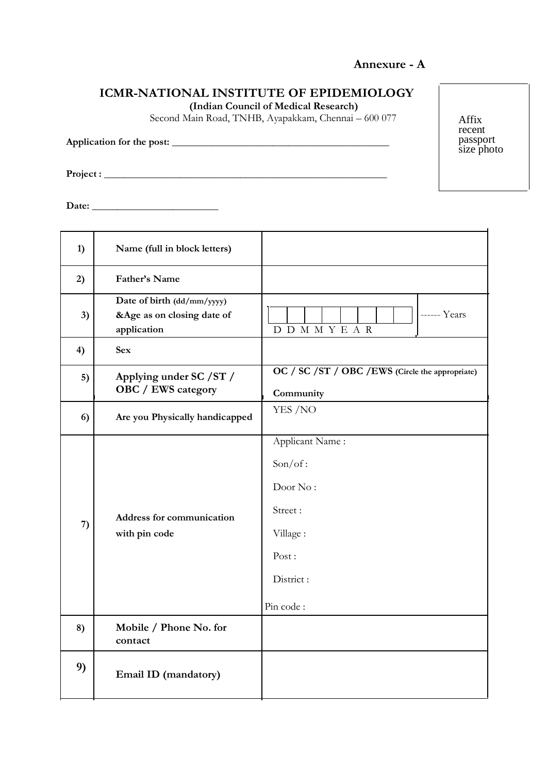### **Annexure - A**

## **ICMR-NATIONAL INSTITUTE OF EPIDEMIOLOGY**

**(Indian Council of Medical Research)**

Second Main Road, TNHB, Ayapakkam, Chennai – 600 077

**Application for the post: \_\_\_\_\_\_\_\_\_\_\_\_\_\_\_\_\_\_\_\_\_\_\_\_\_\_\_\_\_\_\_\_\_\_\_\_\_\_\_\_\_\_\_**

**Project : \_\_\_\_\_\_\_\_\_\_\_\_\_\_\_\_\_\_\_\_\_\_\_\_\_\_\_\_\_\_\_\_\_\_\_\_\_\_\_\_\_\_\_\_\_\_\_\_\_\_\_\_\_\_\_\_**

**Date: \_\_\_\_\_\_\_\_\_\_\_\_\_\_\_\_\_\_\_\_\_\_\_\_\_**

| 1) | Name (full in block letters)                                            |                                                                                                  |  |
|----|-------------------------------------------------------------------------|--------------------------------------------------------------------------------------------------|--|
| 2) | Father's Name                                                           |                                                                                                  |  |
| 3) | Date of birth (dd/mm/yyyy)<br>&Age as on closing date of<br>application | ------ Years<br>D D M M Y E A R                                                                  |  |
| 4) | <b>Sex</b>                                                              |                                                                                                  |  |
| 5) | Applying under SC / ST /<br><b>OBC</b> / EWS category                   | OC / SC / ST / OBC / EWS (Circle the appropriate)<br>Community                                   |  |
| 6) | Are you Physically handicapped                                          | YES /NO                                                                                          |  |
| 7) | Address for communication<br>with pin code                              | Applicant Name:<br>Son/of:<br>Door No:<br>Street:<br>Village:<br>Post:<br>District:<br>Pin code: |  |
| 8) | Mobile / Phone No. for<br>contact                                       |                                                                                                  |  |
| 9) | Email ID (mandatory)                                                    |                                                                                                  |  |

Affix recent passport size photo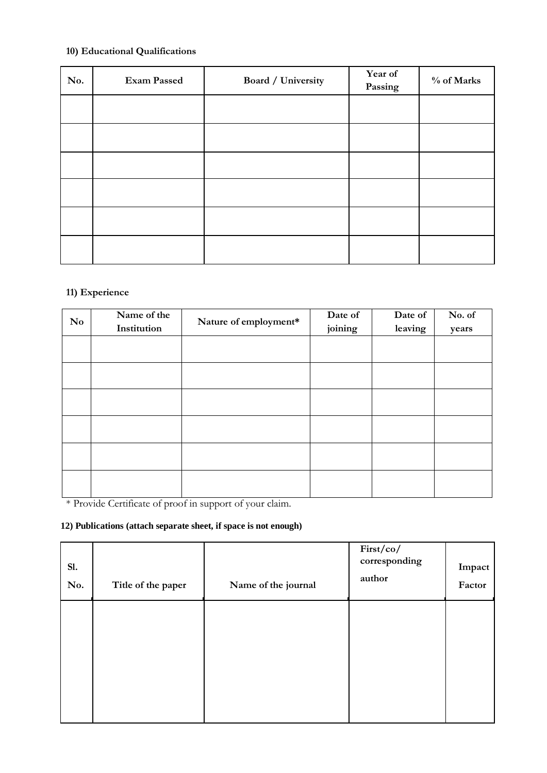### **10) Educational Qualifications**

| No. | <b>Exam Passed</b> | Board / University | Year of<br>Passing | % of Marks |
|-----|--------------------|--------------------|--------------------|------------|
|     |                    |                    |                    |            |
|     |                    |                    |                    |            |
|     |                    |                    |                    |            |
|     |                    |                    |                    |            |
|     |                    |                    |                    |            |
|     |                    |                    |                    |            |

### **11) Experience**

| N <sub>0</sub> | Name of the<br>Institution | Nature of employment* | Date of<br>joining | Date of<br>leaving | No. of<br>years |
|----------------|----------------------------|-----------------------|--------------------|--------------------|-----------------|
|                |                            |                       |                    |                    |                 |
|                |                            |                       |                    |                    |                 |
|                |                            |                       |                    |                    |                 |
|                |                            |                       |                    |                    |                 |
|                |                            |                       |                    |                    |                 |
|                |                            |                       |                    |                    |                 |

\* Provide Certificate of proof in support of your claim.

### **12) Publications (attach separate sheet, if space is not enough)**

| Title of the paper | Name of the journal | First/co/<br>corresponding<br>author | Impact<br>Factor |
|--------------------|---------------------|--------------------------------------|------------------|
|                    |                     |                                      |                  |
|                    |                     |                                      |                  |
|                    |                     |                                      |                  |